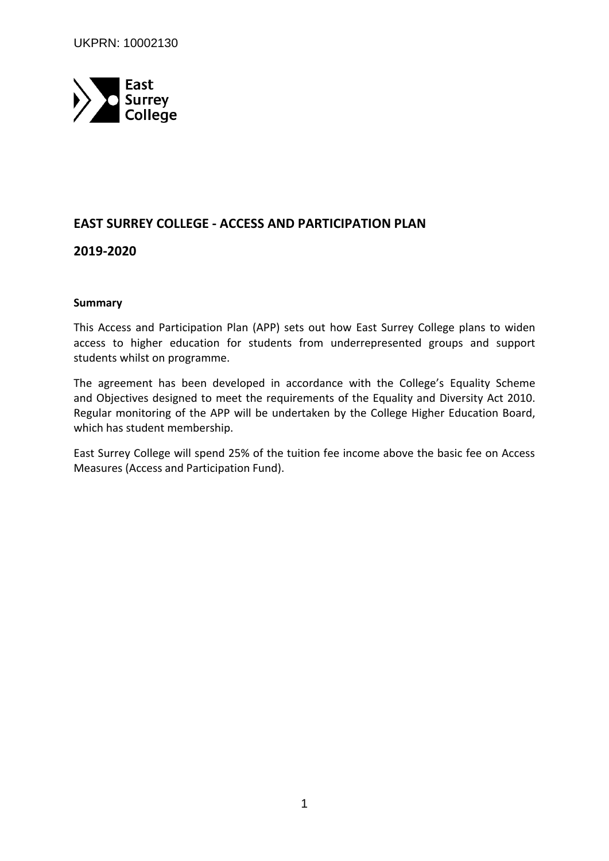

# **EAST SURREY COLLEGE - ACCESS AND PARTICIPATION PLAN**

### **2019-2020**

#### **Summary**

This Access and Participation Plan (APP) sets out how East Surrey College plans to widen access to higher education for students from underrepresented groups and support students whilst on programme.

The agreement has been developed in accordance with the College's Equality Scheme and Objectives designed to meet the requirements of the Equality and Diversity Act 2010. Regular monitoring of the APP will be undertaken by the College Higher Education Board, which has student membership.

East Surrey College will spend 25% of the tuition fee income above the basic fee on Access Measures (Access and Participation Fund).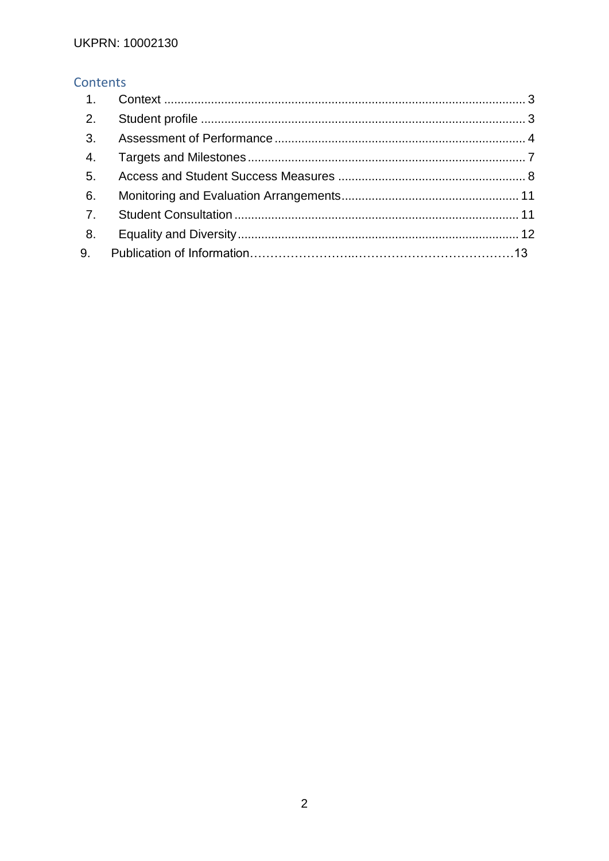# Contents

| 1.             |  |
|----------------|--|
| 2.             |  |
| 3.             |  |
| 4.             |  |
| 5.             |  |
| 6.             |  |
| 7 <sub>1</sub> |  |
| 8.             |  |
| 9.             |  |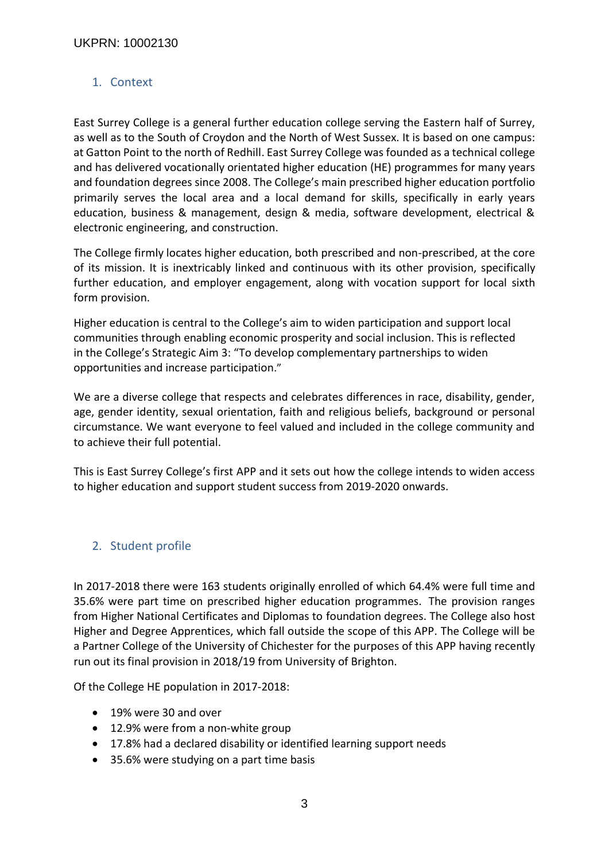# <span id="page-2-1"></span>1. Context

East Surrey College is a general further education college serving the Eastern half of Surrey, as well as to the South of Croydon and the North of West Sussex. It is based on one campus: at Gatton Point to the north of Redhill. East Surrey College was founded as a technical college and has delivered vocationally orientated higher education (HE) programmes for many years and foundation degrees since 2008. The College's main prescribed higher education portfolio primarily serves the local area and a local demand for skills, specifically in early years education, business & management, design & media, software development, electrical & electronic engineering, and construction.

The College firmly locates higher education, both prescribed and non-prescribed, at the core of its mission. It is inextricably linked and continuous with its other provision, specifically further education, and employer engagement, along with vocation support for local sixth form provision.

Higher education is central to the College's aim to widen participation and support local communities through enabling economic prosperity and social inclusion. This is reflected in the College's Strategic Aim 3: "To develop complementary partnerships to widen opportunities and increase participation."

We are a diverse college that respects and celebrates differences in race, disability, gender, age, gender identity, sexual orientation, faith and religious beliefs, background or personal circumstance. We want everyone to feel valued and included in the college community and to achieve their full potential.

This is East Surrey College's first APP and it sets out how the college intends to widen access to higher education and support student success from 2019-2020 onwards.

# <span id="page-2-0"></span>2. Student profile

In 2017-2018 there were 163 students originally enrolled of which 64.4% were full time and 35.6% were part time on prescribed higher education programmes. The provision ranges from Higher National Certificates and Diplomas to foundation degrees. The College also host Higher and Degree Apprentices, which fall outside the scope of this APP. The College will be a Partner College of the University of Chichester for the purposes of this APP having recently run out its final provision in 2018/19 from University of Brighton.

Of the College HE population in 2017-2018:

- 19% were 30 and over
- 12.9% were from a non-white group
- 17.8% had a declared disability or identified learning support needs
- 35.6% were studying on a part time basis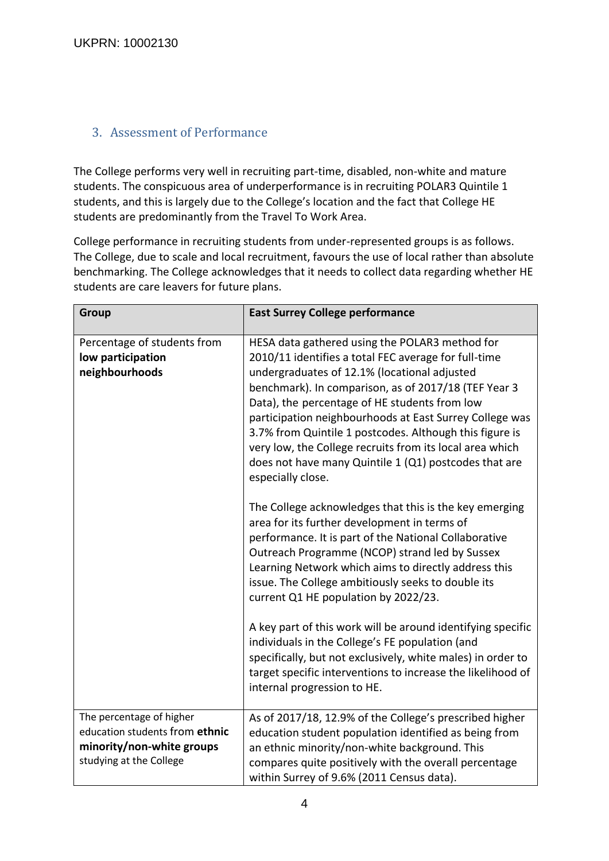# <span id="page-3-0"></span>3. Assessment of Performance

The College performs very well in recruiting part-time, disabled, non-white and mature students. The conspicuous area of underperformance is in recruiting POLAR3 Quintile 1 students, and this is largely due to the College's location and the fact that College HE students are predominantly from the Travel To Work Area.

College performance in recruiting students from under-represented groups is as follows. The College, due to scale and local recruitment, favours the use of local rather than absolute benchmarking. The College acknowledges that it needs to collect data regarding whether HE students are care leavers for future plans.

| Group                                                                                                              | <b>East Surrey College performance</b>                                                                                                                                                                                                                                                                                                                                                                                                                                                                                          |  |  |  |
|--------------------------------------------------------------------------------------------------------------------|---------------------------------------------------------------------------------------------------------------------------------------------------------------------------------------------------------------------------------------------------------------------------------------------------------------------------------------------------------------------------------------------------------------------------------------------------------------------------------------------------------------------------------|--|--|--|
| Percentage of students from<br>low participation<br>neighbourhoods                                                 | HESA data gathered using the POLAR3 method for<br>2010/11 identifies a total FEC average for full-time<br>undergraduates of 12.1% (locational adjusted<br>benchmark). In comparison, as of 2017/18 (TEF Year 3<br>Data), the percentage of HE students from low<br>participation neighbourhoods at East Surrey College was<br>3.7% from Quintile 1 postcodes. Although this figure is<br>very low, the College recruits from its local area which<br>does not have many Quintile 1 (Q1) postcodes that are<br>especially close. |  |  |  |
|                                                                                                                    | The College acknowledges that this is the key emerging<br>area for its further development in terms of<br>performance. It is part of the National Collaborative<br>Outreach Programme (NCOP) strand led by Sussex<br>Learning Network which aims to directly address this<br>issue. The College ambitiously seeks to double its<br>current Q1 HE population by 2022/23.                                                                                                                                                         |  |  |  |
|                                                                                                                    | A key part of this work will be around identifying specific<br>individuals in the College's FE population (and<br>specifically, but not exclusively, white males) in order to<br>target specific interventions to increase the likelihood of<br>internal progression to HE.                                                                                                                                                                                                                                                     |  |  |  |
| The percentage of higher<br>education students from ethnic<br>minority/non-white groups<br>studying at the College | As of 2017/18, 12.9% of the College's prescribed higher<br>education student population identified as being from<br>an ethnic minority/non-white background. This<br>compares quite positively with the overall percentage<br>within Surrey of 9.6% (2011 Census data).                                                                                                                                                                                                                                                         |  |  |  |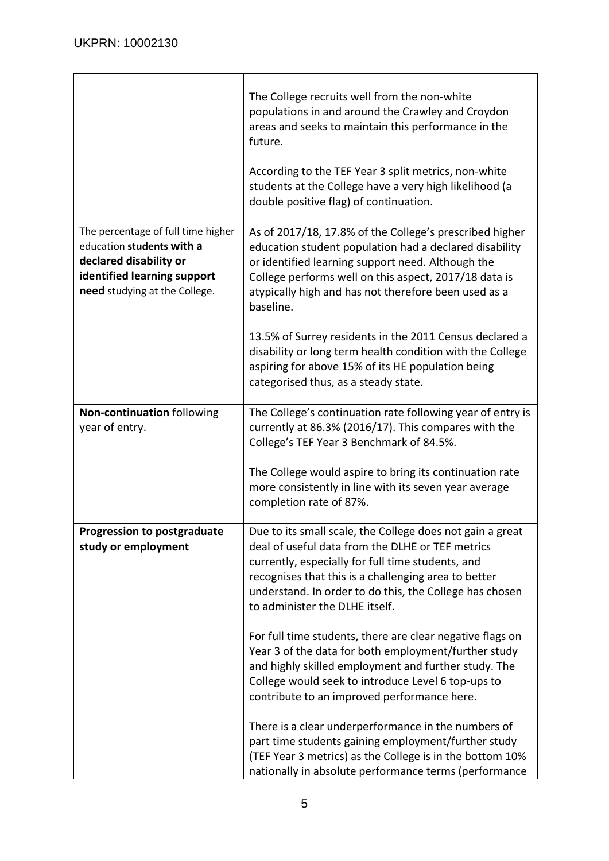$\overline{\phantom{a}}$ 

|                                                                                                                                                           | The College recruits well from the non-white<br>populations in and around the Crawley and Croydon<br>areas and seeks to maintain this performance in the<br>future.                                                                                                                                                     |
|-----------------------------------------------------------------------------------------------------------------------------------------------------------|-------------------------------------------------------------------------------------------------------------------------------------------------------------------------------------------------------------------------------------------------------------------------------------------------------------------------|
|                                                                                                                                                           | According to the TEF Year 3 split metrics, non-white<br>students at the College have a very high likelihood (a<br>double positive flag) of continuation.                                                                                                                                                                |
| The percentage of full time higher<br>education students with a<br>declared disability or<br>identified learning support<br>need studying at the College. | As of 2017/18, 17.8% of the College's prescribed higher<br>education student population had a declared disability<br>or identified learning support need. Although the<br>College performs well on this aspect, 2017/18 data is<br>atypically high and has not therefore been used as a<br>baseline.                    |
|                                                                                                                                                           | 13.5% of Surrey residents in the 2011 Census declared a<br>disability or long term health condition with the College<br>aspiring for above 15% of its HE population being<br>categorised thus, as a steady state.                                                                                                       |
| Non-continuation following<br>year of entry.                                                                                                              | The College's continuation rate following year of entry is<br>currently at 86.3% (2016/17). This compares with the<br>College's TEF Year 3 Benchmark of 84.5%.                                                                                                                                                          |
|                                                                                                                                                           | The College would aspire to bring its continuation rate<br>more consistently in line with its seven year average<br>completion rate of 87%.                                                                                                                                                                             |
| <b>Progression to postgraduate</b><br>study or employment                                                                                                 | Due to its small scale, the College does not gain a great<br>deal of useful data from the DLHE or TEF metrics<br>currently, especially for full time students, and<br>recognises that this is a challenging area to better<br>understand. In order to do this, the College has chosen<br>to administer the DLHE itself. |
|                                                                                                                                                           | For full time students, there are clear negative flags on<br>Year 3 of the data for both employment/further study<br>and highly skilled employment and further study. The<br>College would seek to introduce Level 6 top-ups to<br>contribute to an improved performance here.                                          |
|                                                                                                                                                           | There is a clear underperformance in the numbers of<br>part time students gaining employment/further study<br>(TEF Year 3 metrics) as the College is in the bottom 10%<br>nationally in absolute performance terms (performance                                                                                         |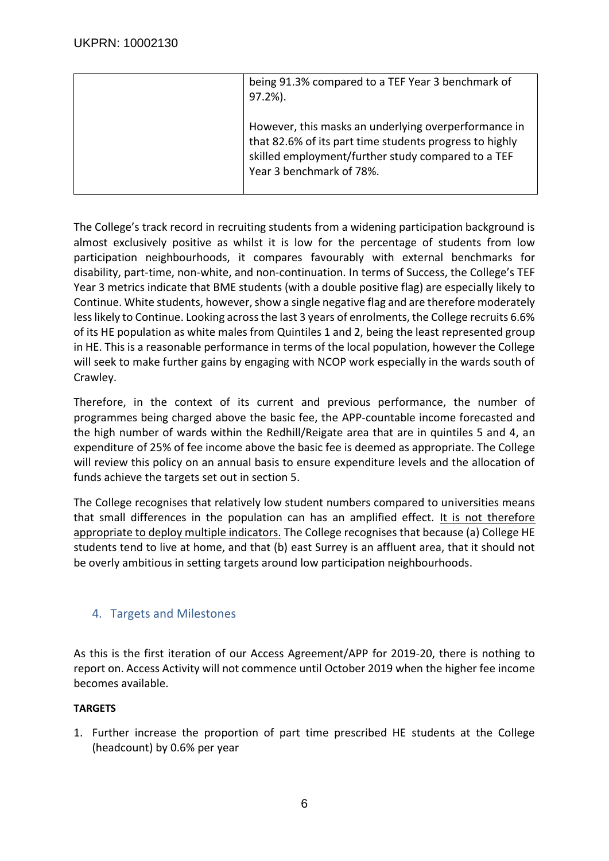| being 91.3% compared to a TEF Year 3 benchmark of<br>$97.2%$ ).                                                                                                                                   |
|---------------------------------------------------------------------------------------------------------------------------------------------------------------------------------------------------|
| However, this masks an underlying overperformance in<br>that 82.6% of its part time students progress to highly<br>skilled employment/further study compared to a TEF<br>Year 3 benchmark of 78%. |

The College's track record in recruiting students from a widening participation background is almost exclusively positive as whilst it is low for the percentage of students from low participation neighbourhoods, it compares favourably with external benchmarks for disability, part-time, non-white, and non-continuation. In terms of Success, the College's TEF Year 3 metrics indicate that BME students (with a double positive flag) are especially likely to Continue. White students, however, show a single negative flag and are therefore moderately less likely to Continue. Looking across the last 3 years of enrolments, the College recruits 6.6% of its HE population as white males from Quintiles 1 and 2, being the least represented group in HE. This is a reasonable performance in terms of the local population, however the College will seek to make further gains by engaging with NCOP work especially in the wards south of Crawley.

Therefore, in the context of its current and previous performance, the number of programmes being charged above the basic fee, the APP-countable income forecasted and the high number of wards within the Redhill/Reigate area that are in quintiles 5 and 4, an expenditure of 25% of fee income above the basic fee is deemed as appropriate. The College will review this policy on an annual basis to ensure expenditure levels and the allocation of funds achieve the targets set out in section 5.

The College recognises that relatively low student numbers compared to universities means that small differences in the population can has an amplified effect. It is not therefore appropriate to deploy multiple indicators. The College recognises that because (a) College HE students tend to live at home, and that (b) east Surrey is an affluent area, that it should not be overly ambitious in setting targets around low participation neighbourhoods.

# <span id="page-5-0"></span>4. Targets and Milestones

As this is the first iteration of our Access Agreement/APP for 2019-20, there is nothing to report on. Access Activity will not commence until October 2019 when the higher fee income becomes available.

### **TARGETS**

1. Further increase the proportion of part time prescribed HE students at the College (headcount) by 0.6% per year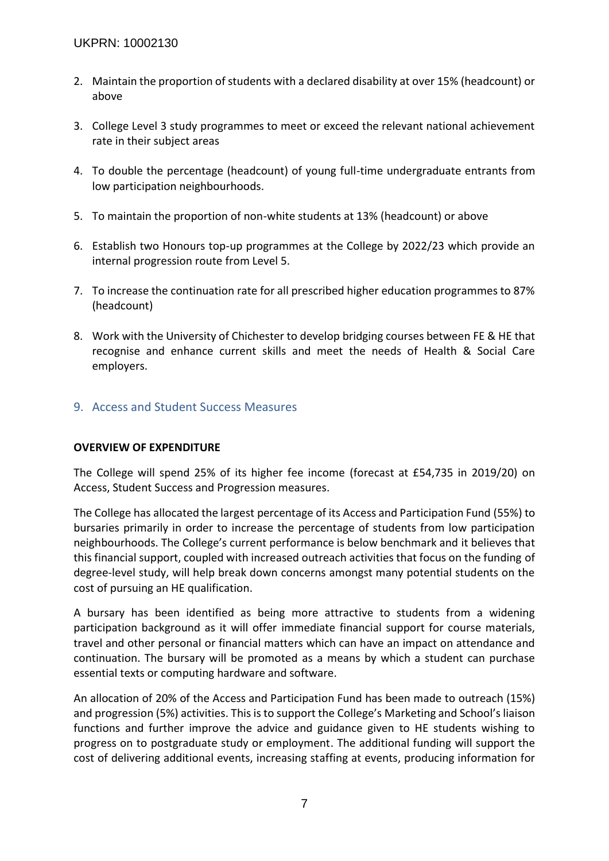- 2. Maintain the proportion of students with a declared disability at over 15% (headcount) or above
- 3. College Level 3 study programmes to meet or exceed the relevant national achievement rate in their subject areas
- 4. To double the percentage (headcount) of young full-time undergraduate entrants from low participation neighbourhoods.
- 5. To maintain the proportion of non-white students at 13% (headcount) or above
- 6. Establish two Honours top-up programmes at the College by 2022/23 which provide an internal progression route from Level 5.
- 7. To increase the continuation rate for all prescribed higher education programmes to 87% (headcount)
- 8. Work with the University of Chichester to develop bridging courses between FE & HE that recognise and enhance current skills and meet the needs of Health & Social Care employers.

# <span id="page-6-0"></span>9. Access and Student Success Measures

### **OVERVIEW OF EXPENDITURE**

The College will spend 25% of its higher fee income (forecast at £54,735 in 2019/20) on Access, Student Success and Progression measures.

The College has allocated the largest percentage of its Access and Participation Fund (55%) to bursaries primarily in order to increase the percentage of students from low participation neighbourhoods. The College's current performance is below benchmark and it believes that this financial support, coupled with increased outreach activities that focus on the funding of degree-level study, will help break down concerns amongst many potential students on the cost of pursuing an HE qualification.

A bursary has been identified as being more attractive to students from a widening participation background as it will offer immediate financial support for course materials, travel and other personal or financial matters which can have an impact on attendance and continuation. The bursary will be promoted as a means by which a student can purchase essential texts or computing hardware and software.

An allocation of 20% of the Access and Participation Fund has been made to outreach (15%) and progression (5%) activities. This is to support the College's Marketing and School's liaison functions and further improve the advice and guidance given to HE students wishing to progress on to postgraduate study or employment. The additional funding will support the cost of delivering additional events, increasing staffing at events, producing information for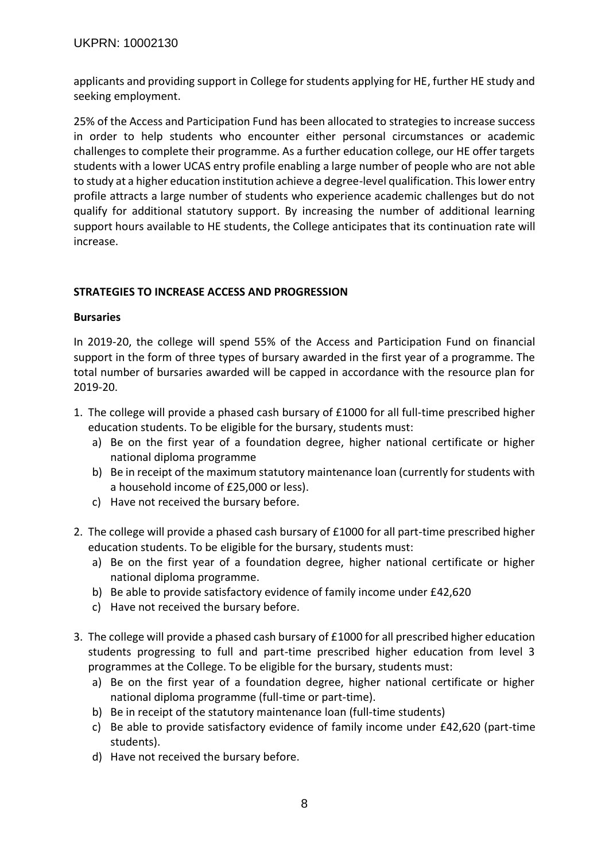applicants and providing support in College for students applying for HE, further HE study and seeking employment.

25% of the Access and Participation Fund has been allocated to strategies to increase success in order to help students who encounter either personal circumstances or academic challenges to complete their programme. As a further education college, our HE offer targets students with a lower UCAS entry profile enabling a large number of people who are not able to study at a higher education institution achieve a degree-level qualification. This lower entry profile attracts a large number of students who experience academic challenges but do not qualify for additional statutory support. By increasing the number of additional learning support hours available to HE students, the College anticipates that its continuation rate will increase.

### **STRATEGIES TO INCREASE ACCESS AND PROGRESSION**

#### **Bursaries**

In 2019-20, the college will spend 55% of the Access and Participation Fund on financial support in the form of three types of bursary awarded in the first year of a programme. The total number of bursaries awarded will be capped in accordance with the resource plan for 2019-20.

- 1. The college will provide a phased cash bursary of £1000 for all full-time prescribed higher education students. To be eligible for the bursary, students must:
	- a) Be on the first year of a foundation degree, higher national certificate or higher national diploma programme
	- b) Be in receipt of the maximum statutory maintenance loan (currently for students with a household income of £25,000 or less).
	- c) Have not received the bursary before.
- 2. The college will provide a phased cash bursary of £1000 for all part-time prescribed higher education students. To be eligible for the bursary, students must:
	- a) Be on the first year of a foundation degree, higher national certificate or higher national diploma programme.
	- b) Be able to provide satisfactory evidence of family income under £42,620
	- c) Have not received the bursary before.
- 3. The college will provide a phased cash bursary of £1000 for all prescribed higher education students progressing to full and part-time prescribed higher education from level 3 programmes at the College. To be eligible for the bursary, students must:
	- a) Be on the first year of a foundation degree, higher national certificate or higher national diploma programme (full-time or part-time).
	- b) Be in receipt of the statutory maintenance loan (full-time students)
	- c) Be able to provide satisfactory evidence of family income under £42,620 (part-time students).
	- d) Have not received the bursary before.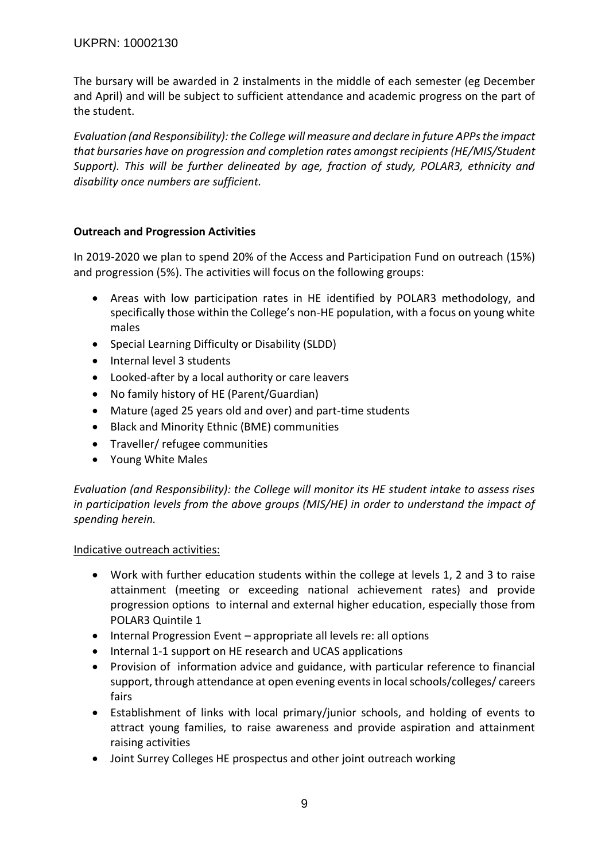### UKPRN: 10002130

The bursary will be awarded in 2 instalments in the middle of each semester (eg December and April) and will be subject to sufficient attendance and academic progress on the part of the student.

*Evaluation (and Responsibility): the College will measure and declare in future APPsthe impact that bursaries have on progression and completion rates amongst recipients (HE/MIS/Student Support). This will be further delineated by age, fraction of study, POLAR3, ethnicity and disability once numbers are sufficient.*

#### **Outreach and Progression Activities**

In 2019-2020 we plan to spend 20% of the Access and Participation Fund on outreach (15%) and progression (5%). The activities will focus on the following groups:

- Areas with low participation rates in HE identified by POLAR3 methodology, and specifically those within the College's non-HE population, with a focus on young white males
- Special Learning Difficulty or Disability (SLDD)
- Internal level 3 students
- Looked-after by a local authority or care leavers
- No family history of HE (Parent/Guardian)
- Mature (aged 25 years old and over) and part-time students
- Black and Minority Ethnic (BME) communities
- Traveller/ refugee communities
- Young White Males

*Evaluation (and Responsibility): the College will monitor its HE student intake to assess rises in participation levels from the above groups (MIS/HE) in order to understand the impact of spending herein.*

#### Indicative outreach activities:

- Work with further education students within the college at levels 1, 2 and 3 to raise attainment (meeting or exceeding national achievement rates) and provide progression options to internal and external higher education, especially those from POLAR3 Quintile 1
- Internal Progression Event appropriate all levels re: all options
- Internal 1-1 support on HE research and UCAS applications
- Provision of information advice and guidance, with particular reference to financial support, through attendance at open evening events in local schools/colleges/ careers fairs
- Establishment of links with local primary/junior schools, and holding of events to attract young families, to raise awareness and provide aspiration and attainment raising activities
- Joint Surrey Colleges HE prospectus and other joint outreach working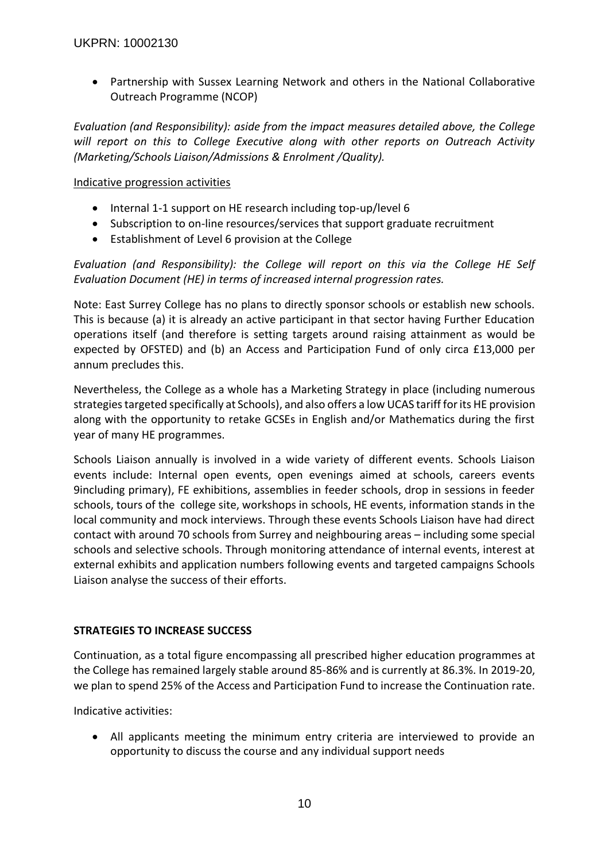Partnership with Sussex Learning Network and others in the National Collaborative Outreach Programme (NCOP)

*Evaluation (and Responsibility): aside from the impact measures detailed above, the College will report on this to College Executive along with other reports on Outreach Activity (Marketing/Schools Liaison/Admissions & Enrolment /Quality).*

#### Indicative progression activities

- Internal 1-1 support on HE research including top-up/level 6
- Subscription to on-line resources/services that support graduate recruitment
- Establishment of Level 6 provision at the College

*Evaluation (and Responsibility): the College will report on this via the College HE Self Evaluation Document (HE) in terms of increased internal progression rates.*

Note: East Surrey College has no plans to directly sponsor schools or establish new schools. This is because (a) it is already an active participant in that sector having Further Education operations itself (and therefore is setting targets around raising attainment as would be expected by OFSTED) and (b) an Access and Participation Fund of only circa £13,000 per annum precludes this.

Nevertheless, the College as a whole has a Marketing Strategy in place (including numerous strategies targeted specifically at Schools), and also offers a low UCAS tariff forits HE provision along with the opportunity to retake GCSEs in English and/or Mathematics during the first year of many HE programmes.

Schools Liaison annually is involved in a wide variety of different events. Schools Liaison events include: Internal open events, open evenings aimed at schools, careers events 9including primary), FE exhibitions, assemblies in feeder schools, drop in sessions in feeder schools, tours of the college site, workshops in schools, HE events, information stands in the local community and mock interviews. Through these events Schools Liaison have had direct contact with around 70 schools from Surrey and neighbouring areas – including some special schools and selective schools. Through monitoring attendance of internal events, interest at external exhibits and application numbers following events and targeted campaigns Schools Liaison analyse the success of their efforts.

### **STRATEGIES TO INCREASE SUCCESS**

Continuation, as a total figure encompassing all prescribed higher education programmes at the College has remained largely stable around 85-86% and is currently at 86.3%. In 2019-20, we plan to spend 25% of the Access and Participation Fund to increase the Continuation rate.

Indicative activities:

 All applicants meeting the minimum entry criteria are interviewed to provide an opportunity to discuss the course and any individual support needs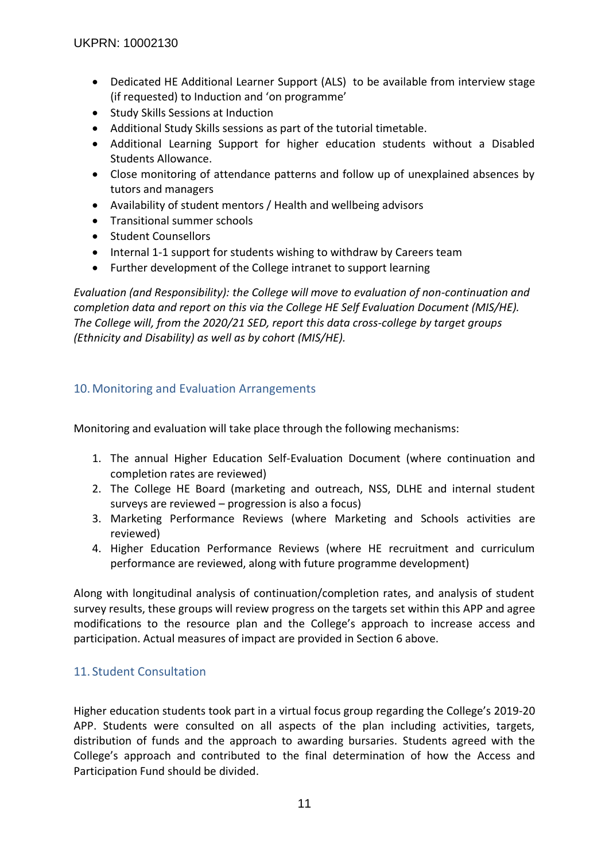- Dedicated HE Additional Learner Support (ALS) to be available from interview stage (if requested) to Induction and 'on programme'
- Study Skills Sessions at Induction
- Additional Study Skills sessions as part of the tutorial timetable.
- Additional Learning Support for higher education students without a Disabled Students Allowance.
- Close monitoring of attendance patterns and follow up of unexplained absences by tutors and managers
- Availability of student mentors / Health and wellbeing advisors
- **•** Transitional summer schools
- Student Counsellors
- Internal 1-1 support for students wishing to withdraw by Careers team
- Further development of the College intranet to support learning

*Evaluation (and Responsibility): the College will move to evaluation of non-continuation and completion data and report on this via the College HE Self Evaluation Document (MIS/HE). The College will, from the 2020/21 SED, report this data cross-college by target groups (Ethnicity and Disability) as well as by cohort (MIS/HE).*

# <span id="page-10-1"></span>10.Monitoring and Evaluation Arrangements

Monitoring and evaluation will take place through the following mechanisms:

- 1. The annual Higher Education Self-Evaluation Document (where continuation and completion rates are reviewed)
- 2. The College HE Board (marketing and outreach, NSS, DLHE and internal student surveys are reviewed – progression is also a focus)
- 3. Marketing Performance Reviews (where Marketing and Schools activities are reviewed)
- 4. Higher Education Performance Reviews (where HE recruitment and curriculum performance are reviewed, along with future programme development)

Along with longitudinal analysis of continuation/completion rates, and analysis of student survey results, these groups will review progress on the targets set within this APP and agree modifications to the resource plan and the College's approach to increase access and participation. Actual measures of impact are provided in Section 6 above.

# <span id="page-10-0"></span>11. Student Consultation

Higher education students took part in a virtual focus group regarding the College's 2019-20 APP. Students were consulted on all aspects of the plan including activities, targets, distribution of funds and the approach to awarding bursaries. Students agreed with the College's approach and contributed to the final determination of how the Access and Participation Fund should be divided.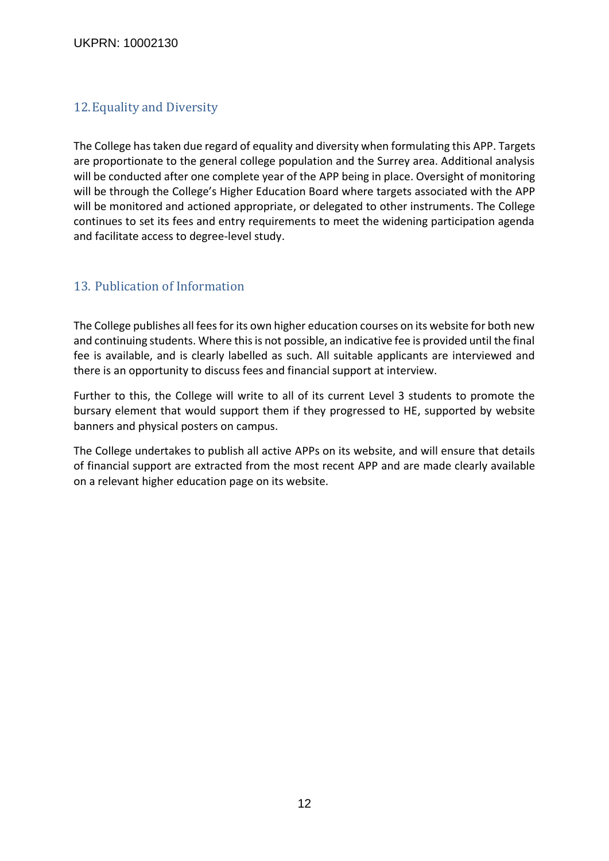#### UKPRN: 10002130

# <span id="page-11-0"></span>12.Equality and Diversity

The College has taken due regard of equality and diversity when formulating this APP. Targets are proportionate to the general college population and the Surrey area. Additional analysis will be conducted after one complete year of the APP being in place. Oversight of monitoring will be through the College's Higher Education Board where targets associated with the APP will be monitored and actioned appropriate, or delegated to other instruments. The College continues to set its fees and entry requirements to meet the widening participation agenda and facilitate access to degree-level study.

### 13. Publication of Information

The College publishes all fees for its own higher education courses on its website for both new and continuing students. Where this is not possible, an indicative fee is provided until the final fee is available, and is clearly labelled as such. All suitable applicants are interviewed and there is an opportunity to discuss fees and financial support at interview.

Further to this, the College will write to all of its current Level 3 students to promote the bursary element that would support them if they progressed to HE, supported by website banners and physical posters on campus.

The College undertakes to publish all active APPs on its website, and will ensure that details of financial support are extracted from the most recent APP and are made clearly available on a relevant higher education page on its website.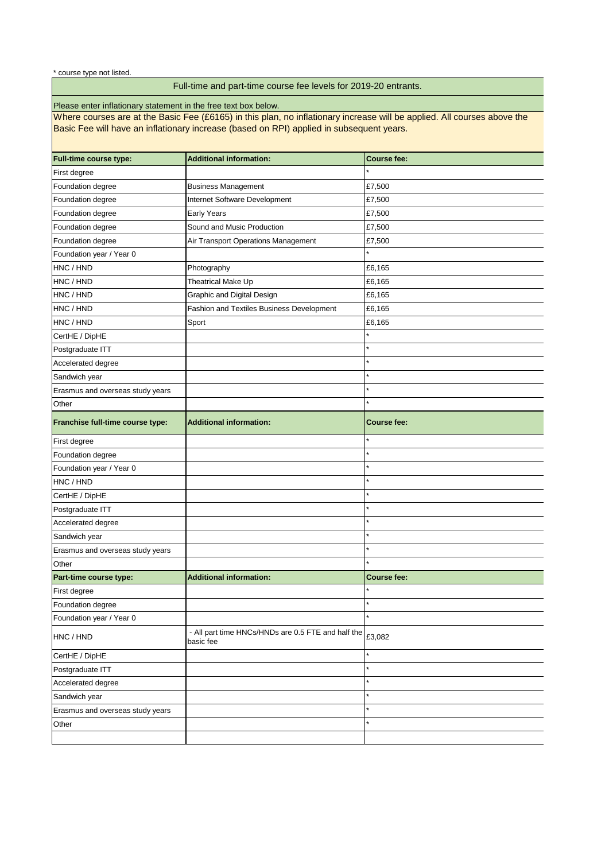| <b>Full-time course type:</b>    | <b>Additional information:</b>                                  | <b>Course fee:</b> |  |  |  |  |  |
|----------------------------------|-----------------------------------------------------------------|--------------------|--|--|--|--|--|
| First degree                     |                                                                 |                    |  |  |  |  |  |
| Foundation degree                | <b>Business Management</b>                                      | £7,500             |  |  |  |  |  |
| Foundation degree                | Internet Software Development                                   | £7,500             |  |  |  |  |  |
| Foundation degree                | Early Years                                                     | £7,500             |  |  |  |  |  |
| Foundation degree                | Sound and Music Production                                      | £7,500             |  |  |  |  |  |
| Foundation degree                | Air Transport Operations Management                             | £7,500             |  |  |  |  |  |
| Foundation year / Year 0         |                                                                 |                    |  |  |  |  |  |
| HNC / HND                        | Photography                                                     | £6,165             |  |  |  |  |  |
| HNC / HND                        | Theatrical Make Up                                              | £6,165             |  |  |  |  |  |
| HNC / HND                        | <b>Graphic and Digital Design</b>                               | £6,165             |  |  |  |  |  |
| HNC / HND                        | <b>Fashion and Textiles Business Development</b>                | £6,165             |  |  |  |  |  |
| HNC / HND                        | Sport                                                           | £6,165             |  |  |  |  |  |
| CertHE / DipHE                   |                                                                 |                    |  |  |  |  |  |
| Postgraduate ITT                 |                                                                 | $\star$            |  |  |  |  |  |
| Accelerated degree               |                                                                 |                    |  |  |  |  |  |
| Sandwich year                    |                                                                 | $\star$            |  |  |  |  |  |
| Erasmus and overseas study years |                                                                 |                    |  |  |  |  |  |
| Other                            |                                                                 | $\star$            |  |  |  |  |  |
| Franchise full-time course type: | <b>Additional information:</b>                                  | <b>Course fee:</b> |  |  |  |  |  |
| First degree                     |                                                                 | $\star$            |  |  |  |  |  |
| Foundation degree                |                                                                 | $\star$            |  |  |  |  |  |
| Foundation year / Year 0         |                                                                 | $\star$            |  |  |  |  |  |
| HNC / HND                        |                                                                 | $\star$            |  |  |  |  |  |
| CertHE / DipHE                   |                                                                 |                    |  |  |  |  |  |
| Postgraduate ITT                 |                                                                 | $\star$            |  |  |  |  |  |
| Accelerated degree               |                                                                 | $\star$            |  |  |  |  |  |
| Sandwich year                    |                                                                 | $\star$            |  |  |  |  |  |
| Erasmus and overseas study years |                                                                 | $\star$            |  |  |  |  |  |
| Other                            |                                                                 | $\star$            |  |  |  |  |  |
| Part-time course type:           | <b>Additional information:</b>                                  | <b>Course fee:</b> |  |  |  |  |  |
| First degree                     |                                                                 |                    |  |  |  |  |  |
| Foundation degree                |                                                                 | $\star$            |  |  |  |  |  |
| Foundation year / Year 0         |                                                                 | $\star$            |  |  |  |  |  |
| HNC / HND                        | - All part time HNCs/HNDs are 0.5 FTE and half the<br>basic fee | £3,082             |  |  |  |  |  |
| CertHE / DipHE                   |                                                                 | ¥                  |  |  |  |  |  |
| Postgraduate ITT                 |                                                                 |                    |  |  |  |  |  |
| Accelerated degree               |                                                                 | ¥                  |  |  |  |  |  |
| Sandwich year                    |                                                                 |                    |  |  |  |  |  |
| Erasmus and overseas study years |                                                                 | $\star$            |  |  |  |  |  |
| Other                            |                                                                 |                    |  |  |  |  |  |
|                                  |                                                                 |                    |  |  |  |  |  |

Where courses are at the Basic Fee (£6165) in this plan, no inflationary increase will be applied. All courses above the Basic Fee will have an inflationary increase (based on RPI) applied in subsequent years.

# Full-time and part-time course fee levels for 2019-20 entrants.

Please enter inflationary statement in the free text box below.

\* course type not listed.